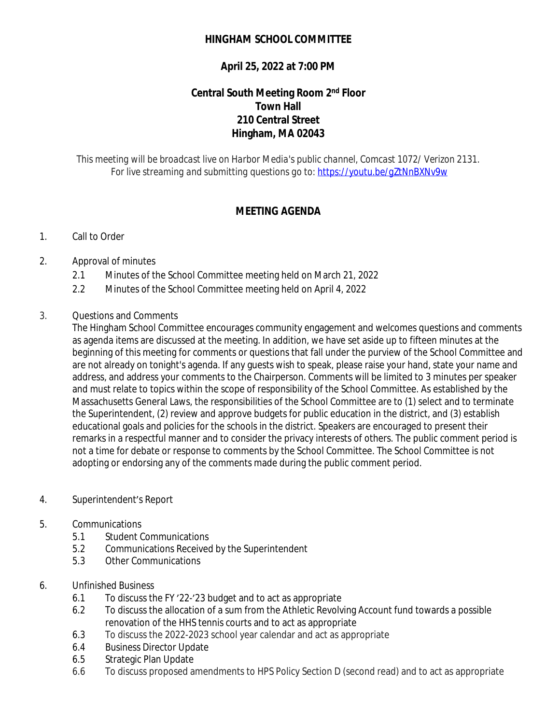## **HINGHAM SCHOOL COMMITTEE**

# **April 25, 2022 at 7:00 PM**

## **Central South Meeting Room 2nd Floor Town Hall 210 Central Street Hingham, MA 02043**

*This meeting will be broadcast live on Harbor Media's public channel, Comcast 1072/ Verizon 2131. For live streaming and submitting questions go to:<https://youtu.be/gZtNnBXNv9w>*

## **MEETING AGENDA**

### 1. Call to Order

### 2. Approval of minutes

- 2.1 Minutes of the School Committee meeting held on March 21, 2022
- 2.2 Minutes of the School Committee meeting held on April 4, 2022

#### 3. Questions and Comments

The Hingham School Committee encourages community engagement and welcomes questions and comments as agenda items are discussed at the meeting. In addition, we have set aside up to fifteen minutes at the beginning of this meeting for comments or questions that fall under the purview of the School Committee and are not already on tonight's agenda. If any guests wish to speak, please raise your hand, state your name and address, and address your comments to the Chairperson. Comments will be limited to 3 minutes per speaker and must relate to topics within the scope of responsibility of the School Committee. As established by the Massachusetts General Laws, the responsibilities of the School Committee are to (1) select and to terminate the Superintendent, (2) review and approve budgets for public education in the district, and (3) establish educational goals and policies for the schools in the district. Speakers are encouraged to present their remarks in a respectful manner and to consider the privacy interests of others. The public comment period is not a time for debate or response to comments by the School Committee. The School Committee is not adopting or endorsing any of the comments made during the public comment period.

#### 4. Superintendent's Report

#### 5. Communications

- 5.1 Student Communications
- 5.2 Communications Received by the Superintendent
- 5.3 Other Communications

#### 6. Unfinished Business

- 6.1 To discuss the FY '22-'23 budget and to act as appropriate
- 6.2 To discuss the allocation of a sum from the Athletic Revolving Account fund towards a possible renovation of the HHS tennis courts and to act as appropriate
- 6.3 To discuss the 2022-2023 school year calendar and act as appropriate
- 6.4 Business Director Update
- 6.5 Strategic Plan Update
- 6.6 To discuss proposed amendments to HPS Policy Section D (second read) and to act as appropriate